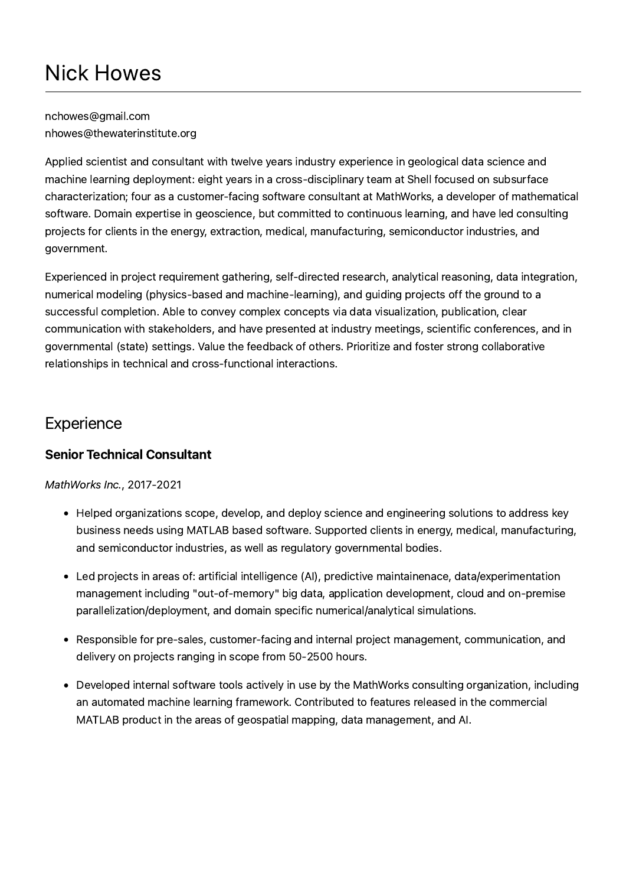nchowes@gmail.com nhowes@thewaterinstitute.org

Applied scientist and consultant with twelve years industry experience in geological data science and machine learning deployment: eight years in a cross-disciplinary team at Shell focused on subsurface characterization; four as a customer-facing software consultant at MathWorks, a developer of mathematical software. Domain expertise in geoscience, but committed to continuous learning, and have led consulting projects for clients in the energy, extraction, medical, manufacturing, semiconductor industries, and government.

Experienced in project requirement gathering, self-directed research, analytical reasoning, data integration, numerical modeling (physics-based and machine-learning), and guiding projects off the ground to a successful completion. Able to convey complex concepts via data visualization, publication, clear communication with stakeholders, and have presented at industry meetings, scientific conferences, and in governmental (state) settings. Value the feedback of others. Prioritize and foster strong collaborative relationships in technical and cross-functional interactions.

## **Experience**

#### Senior Technical Consultant

MathWorks Inc., 2017-2021

- Helped organizations scope, develop, and deploy science and engineering solutions to address key business needs using MATLAB based software. Supported clients in energy, medical, manufacturing, and semiconductor industries, as well as regulatory governmental bodies.
- Led projects in areas of: artificial intelligence (AI), predictive maintainenace, data/experimentation management including "out-of-memory" big data, application development, cloud and on-premise parallelization/deployment, and domain specific numerical/analytical simulations.
- Responsible for pre-sales, customer-facing and internal project management, communication, and delivery on projects ranging in scope from 50-2500 hours.
- Developed internal software tools actively in use by the MathWorks consulting organization, including an automated machine learning framework. Contributed to features released in the commercial MATLAB product in the areas of geospatial mapping, data management, and AI.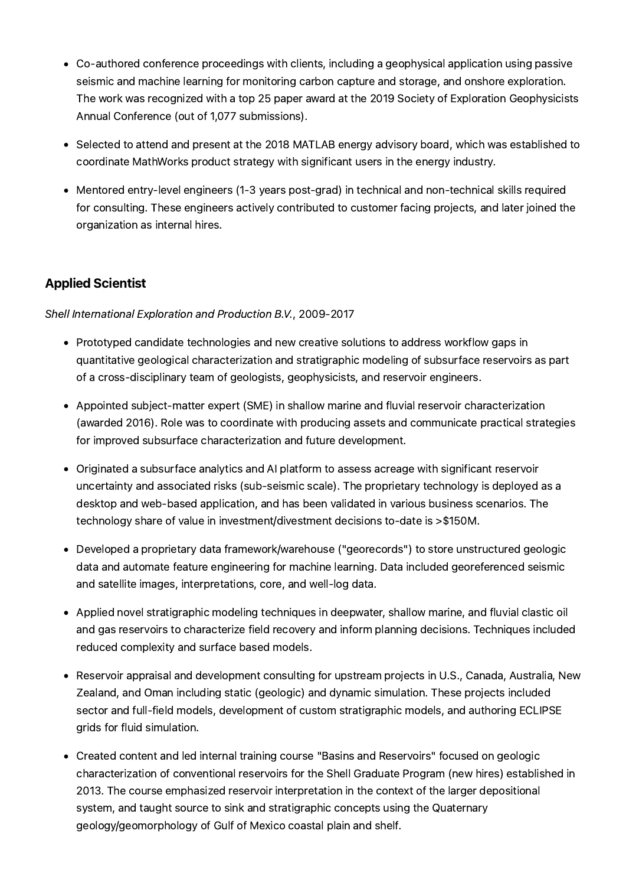- Co-authored conference proceedings with clients, including a geophysical application using passive seismic and machine learning for monitoring carbon capture and storage, and onshore exploration. The work was recognized with a top 25 paper award at the 2019 Society of Exploration Geophysicists Annual Conference (out of 1,077 submissions).
- Selected to attend and present at the 2018 MATLAB energy advisory board, which was established to coordinate MathWorks product strategy with significant users in the energy industry.
- Mentored entry-level engineers (1-3 years post-grad) in technical and non-technical skills required for consulting. These engineers actively contributed to customer facing projects, and later joined the organization as internal hires.

#### Applied Scientist

Shell International Exploration and Production B.V., 2009-2017

- Prototyped candidate technologies and new creative solutions to address workflow gaps in quantitative geological characterization and stratigraphic modeling of subsurface reservoirs as part of a cross-disciplinary team of geologists, geophysicists, and reservoir engineers.
- Appointed subject-matter expert (SME) in shallow marine and fluvial reservoir characterization (awarded 2016). Role was to coordinate with producing assets and communicate practical strategies for improved subsurface characterization and future development.
- Originated a subsurface analytics and AI platform to assess acreage with significant reservoir uncertainty and associated risks (sub-seismic scale). The proprietary technology is deployed as a desktop and web-based application, and has been validated in various business scenarios. The technology share of value in investment/divestment decisions to-date is >\$150M.
- Developed a proprietary data framework/warehouse ("georecords") to store unstructured geologic data and automate feature engineering for machine learning. Data included georeferenced seismic and satellite images, interpretations, core, and well-log data.
- Applied novel stratigraphic modeling techniques in deepwater, shallow marine, and fluvial clastic oil and gas reservoirs to characterize field recovery and inform planning decisions. Techniques included reduced complexity and surface based models.
- Reservoir appraisal and development consulting for upstream projects in U.S., Canada, Australia, New Zealand, and Oman including static (geologic) and dynamic simulation. These projects included sector and full-field models, development of custom stratigraphic models, and authoring ECLIPSE grids for fluid simulation.
- Created content and led internal training course "Basins and Reservoirs" focused on geologic characterization of conventional reservoirs for the Shell Graduate Program (new hires) established in 2013. The course emphasized reservoir interpretation in the context of the larger depositional system, and taught source to sink and stratigraphic concepts using the Quaternary geology/geomorphology of Gulf of Mexico coastal plain and shelf.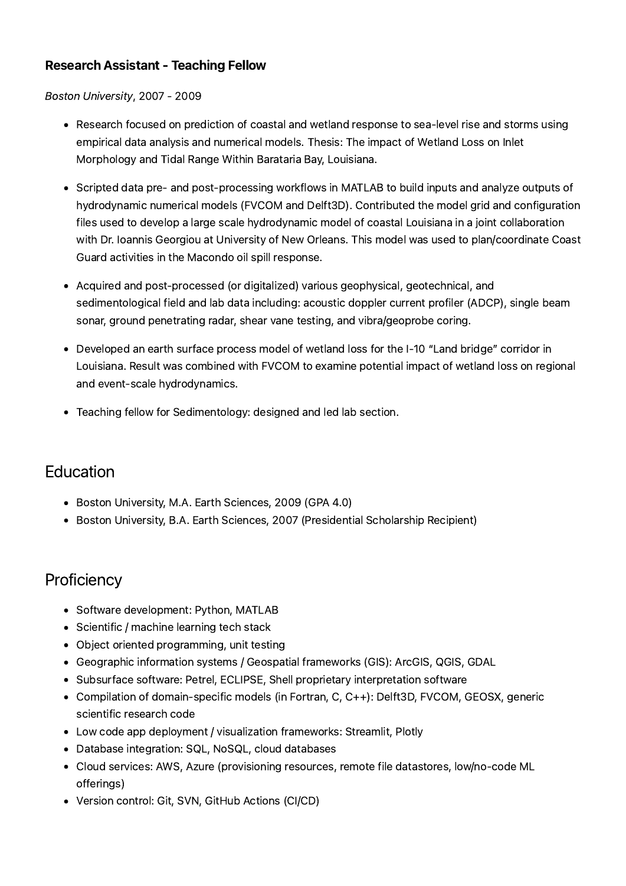#### Research Assistant - Teaching Fellow

#### Boston University, 2007 - 2009

- Research focused on prediction of coastal and wetland response to sea-level rise and storms using empirical data analysis and numerical models. Thesis: The impact of Wetland Loss on Inlet Morphology and Tidal Range Within Barataria Bay, Louisiana.
- Scripted data pre- and post-processing workflows in MATLAB to build inputs and analyze outputs of hydrodynamic numerical models (FVCOM and Delft3D). Contributed the model grid and configuration files used to develop a large scale hydrodynamic model of coastal Louisiana in a joint collaboration with Dr. Ioannis Georgiou at University of New Orleans. This model was used to plan/coordinate Coast Guard activities in the Macondo oil spill response.
- Acquired and post-processed (or digitalized) various geophysical, geotechnical, and sedimentological field and lab data including: acoustic doppler current profiler (ADCP), single beam sonar, ground penetrating radar, shear vane testing, and vibra/geoprobe coring.
- Developed an earth surface process model of wetland loss for the I-10 "Land bridge" corridor in Louisiana. Result was combined with FVCOM to examine potential impact of wetland loss on regional and event-scale hydrodynamics.
- Teaching fellow for Sedimentology: designed and led lab section.

## **Education**

- Boston University, M.A. Earth Sciences, 2009 (GPA 4.0)
- Boston University, B.A. Earth Sciences, 2007 (Presidential Scholarship Recipient)

### **Proficiency**

- Software development: Python, MATLAB
- Scientific / machine learning tech stack
- Object oriented programming, unit testing
- Geographic information systems / Geospatial frameworks (GIS): ArcGIS, QGIS, GDAL
- Subsurface software: Petrel, ECLIPSE, Shell proprietary interpretation software
- Compilation of domain-specific models (in Fortran, C, C++): Delft3D, FVCOM, GEOSX, generic scientific research code
- Low code app deployment / visualization frameworks: Streamlit, Plotly
- Database integration: SQL, NoSQL, cloud databases
- Cloud services: AWS, Azure (provisioning resources, remote file datastores, low/no-code ML offerings)
- Version control: Git, SVN, GitHub Actions (CI/CD)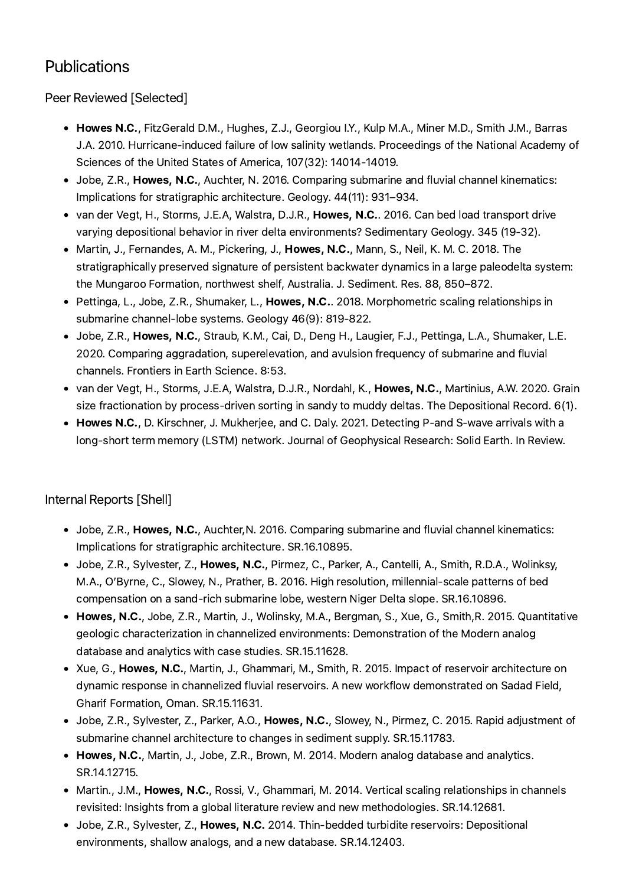# **Publications**

Peer Reviewed [Selected]

- Howes N.C., FitzGerald D.M., Hughes, Z.J., Georgiou I.Y., Kulp M.A., Miner M.D., Smith J.M., Barras J.A. 2010. Hurricane-induced failure of low salinity wetlands. Proceedings of the National Academy of Sciences of the United States of America, 107(32): 14014-14019.
- Jobe, Z.R., Howes, N.C., Auchter, N. 2016. Comparing submarine and fluvial channel kinematics: Implications for stratigraphic architecture. Geology. 44(11): 931–934.
- van der Vegt, H., Storms, J.E.A, Walstra, D.J.R., Howes, N.C.. 2016. Can bed load transport drive varying depositional behavior in river delta environments? Sedimentary Geology. 345 (19-32).
- Martin, J., Fernandes, A. M., Pickering, J., Howes, N.C., Mann, S., Neil, K. M. C. 2018. The stratigraphically preserved signature of persistent backwater dynamics in a large paleodelta system: the Mungaroo Formation, northwest shelf, Australia. J. Sediment. Res. 88, 850–872.
- Pettinga, L., Jobe, Z.R., Shumaker, L., Howes, N.C.. 2018. Morphometric scaling relationships in submarine channel-lobe systems. Geology 46(9): 819-822.
- Jobe, Z.R., Howes, N.C., Straub, K.M., Cai, D., Deng H., Laugier, F.J., Pettinga, L.A., Shumaker, L.E. 2020. Comparing aggradation, superelevation, and avulsion frequency of submarine and fluvial channels. Frontiers in Earth Science. 8:53.
- van der Vegt, H., Storms, J.E.A, Walstra, D.J.R., Nordahl, K., Howes, N.C., Martinius, A.W. 2020. Grain size fractionation by process-driven sorting in sandy to muddy deltas. The Depositional Record. 6(1).
- Howes N.C., D. Kirschner, J. Mukherjee, and C. Daly. 2021. Detecting P-and S-wave arrivals with a long-short term memory (LSTM) network. Journal of Geophysical Research: Solid Earth. In Review.

#### Internal Reports [Shell]

- Jobe, Z.R., Howes, N.C., Auchter, N. 2016. Comparing submarine and fluvial channel kinematics: Implications for stratigraphic architecture. SR.16.10895.
- Jobe, Z.R., Sylvester, Z., Howes, N.C., Pirmez, C., Parker, A., Cantelli, A., Smith, R.D.A., Wolinksy, M.A., O'Byrne, C., Slowey, N., Prather, B. 2016. High resolution, millennial-scale patterns of bed compensation on a sand-rich submarine lobe, western Niger Delta slope. SR.16.10896.
- Howes, N.C., Jobe, Z.R., Martin, J., Wolinsky, M.A., Bergman, S., Xue, G., Smith, R. 2015. Quantitative geologic characterization in channelized environments: Demonstration of the Modern analog database and analytics with case studies. SR.15.11628.
- Xue, G., Howes, N.C., Martin, J., Ghammari, M., Smith, R. 2015. Impact of reservoir architecture on dynamic response in channelized fluvial reservoirs. A new workflow demonstrated on Sadad Field, Gharif Formation, Oman. SR.15.11631.
- Jobe, Z.R., Sylvester, Z., Parker, A.O., Howes, N.C., Slowey, N., Pirmez, C. 2015. Rapid adjustment of submarine channel architecture to changes in sediment supply. SR.15.11783.
- Howes, N.C., Martin, J., Jobe, Z.R., Brown, M. 2014. Modern analog database and analytics. SR.14.12715.
- Martin., J.M., Howes, N.C., Rossi, V., Ghammari, M. 2014. Vertical scaling relationships in channels revisited: Insights from a global literature review and new methodologies. SR.14.12681.
- Jobe, Z.R., Sylvester, Z., Howes, N.C. 2014. Thin-bedded turbidite reservoirs: Depositional environments, shallow analogs, and a new database. SR.14.12403.